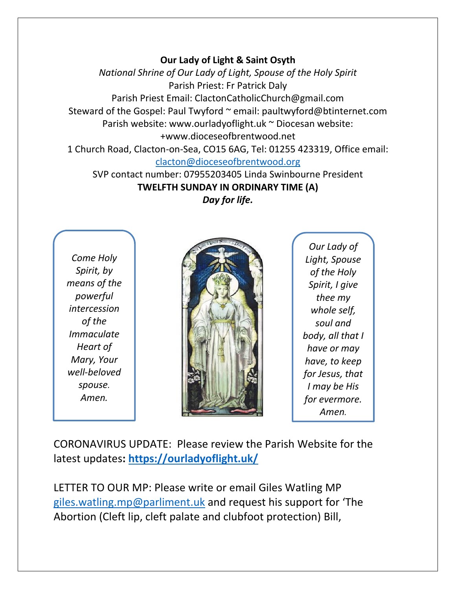## **Our Lady of Light & Saint Osyth**

*National Shrine of Our Lady of Light, Spouse of the Holy Spirit* Parish Priest: Fr Patrick Daly Parish Priest Email: ClactonCatholicChurch@gmail.com Steward of the Gospel: Paul Twyford ~ email: paultwyford@btinternet.com Parish website: www.ourladyoflight.uk ~ Diocesan website: +www.dioceseofbrentwood.net 1 Church Road, Clacton-on-Sea, CO15 6AG, Tel: 01255 423319, Office email:

[clacton@dioceseofbrentwood.org](mailto:clacton@dioceseofbrentwood.org)

SVP contact number: 07955203405 Linda Swinbourne President **TWELFTH SUNDAY IN ORDINARY TIME (A)** *Day for life.*

*Come Holy Spirit, by means of the powerful intercession of the Immaculate Heart of Mary, Your well-beloved spouse. Amen.*



*Our Lady of Light, Spouse of the Holy Spirit, I give thee my whole self, soul and body, all that I have or may have, to keep for Jesus, that I may be His for evermore. Amen.*

CORONAVIRUS UPDATE: Please review the Parish Website for the latest updates**:<https://ourladyoflight.uk/>**

LETTER TO OUR MP: Please write or email Giles Watling MP [giles.watling.mp@parliment.uk](mailto:giles.watling.mp@parliment.uk) and request his support for 'The Abortion (Cleft lip, cleft palate and clubfoot protection) Bill,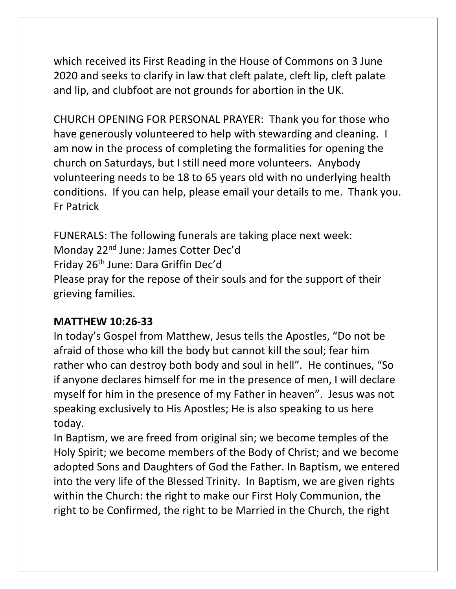which [received its First Reading](https://righttolife.org.uk/news/abortion-cleft-lip-cleft-palate-and-club-foot-bill-receives-first-reading/) in the House of Commons on 3 June 2020 and seeks to clarify in law that cleft palate, cleft lip, cleft palate and lip, and clubfoot are not grounds for abortion in the UK.

CHURCH OPENING FOR PERSONAL PRAYER: Thank you for those who have generously volunteered to help with stewarding and cleaning. I am now in the process of completing the formalities for opening the church on Saturdays, but I still need more volunteers. Anybody volunteering needs to be 18 to 65 years old with no underlying health conditions. If you can help, please email your details to me. Thank you. Fr Patrick

FUNERALS: The following funerals are taking place next week: Monday 22nd June: James Cotter Dec'd Friday 26th June: Dara Griffin Dec'd Please pray for the repose of their souls and for the support of their grieving families.

## **MATTHEW 10:26-33**

In today's Gospel from Matthew, Jesus tells the Apostles, "Do not be afraid of those who kill the body but cannot kill the soul; fear him rather who can destroy both body and soul in hell". He continues, "So if anyone declares himself for me in the presence of men, I will declare myself for him in the presence of my Father in heaven". Jesus was not speaking exclusively to His Apostles; He is also speaking to us here today.

In Baptism, we are freed from original sin; we become temples of the Holy Spirit; we become members of the Body of Christ; and we become adopted Sons and Daughters of God the Father. In Baptism, we entered into the very life of the Blessed Trinity. In Baptism, we are given rights within the Church: the right to make our First Holy Communion, the right to be Confirmed, the right to be Married in the Church, the right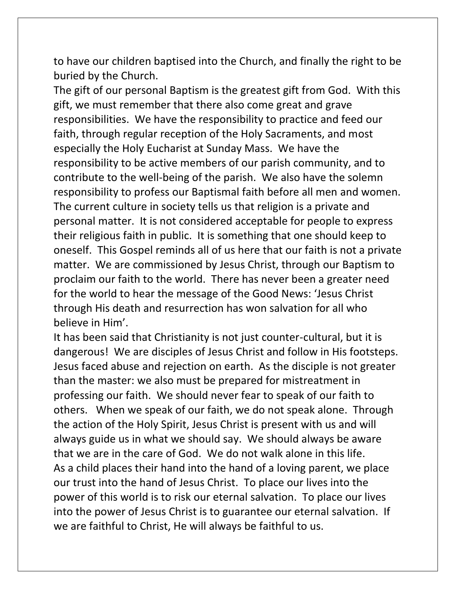to have our children baptised into the Church, and finally the right to be buried by the Church.

The gift of our personal Baptism is the greatest gift from God. With this gift, we must remember that there also come great and grave responsibilities. We have the responsibility to practice and feed our faith, through regular reception of the Holy Sacraments, and most especially the Holy Eucharist at Sunday Mass. We have the responsibility to be active members of our parish community, and to contribute to the well-being of the parish. We also have the solemn responsibility to profess our Baptismal faith before all men and women. The current culture in society tells us that religion is a private and personal matter. It is not considered acceptable for people to express their religious faith in public. It is something that one should keep to oneself. This Gospel reminds all of us here that our faith is not a private matter. We are commissioned by Jesus Christ, through our Baptism to proclaim our faith to the world. There has never been a greater need for the world to hear the message of the Good News: 'Jesus Christ through His death and resurrection has won salvation for all who believe in Him'.

It has been said that Christianity is not just counter-cultural, but it is dangerous! We are disciples of Jesus Christ and follow in His footsteps. Jesus faced abuse and rejection on earth. As the disciple is not greater than the master: we also must be prepared for mistreatment in professing our faith. We should never fear to speak of our faith to others. When we speak of our faith, we do not speak alone. Through the action of the Holy Spirit, Jesus Christ is present with us and will always guide us in what we should say. We should always be aware that we are in the care of God. We do not walk alone in this life. As a child places their hand into the hand of a loving parent, we place our trust into the hand of Jesus Christ. To place our lives into the power of this world is to risk our eternal salvation. To place our lives into the power of Jesus Christ is to guarantee our eternal salvation. If we are faithful to Christ, He will always be faithful to us.